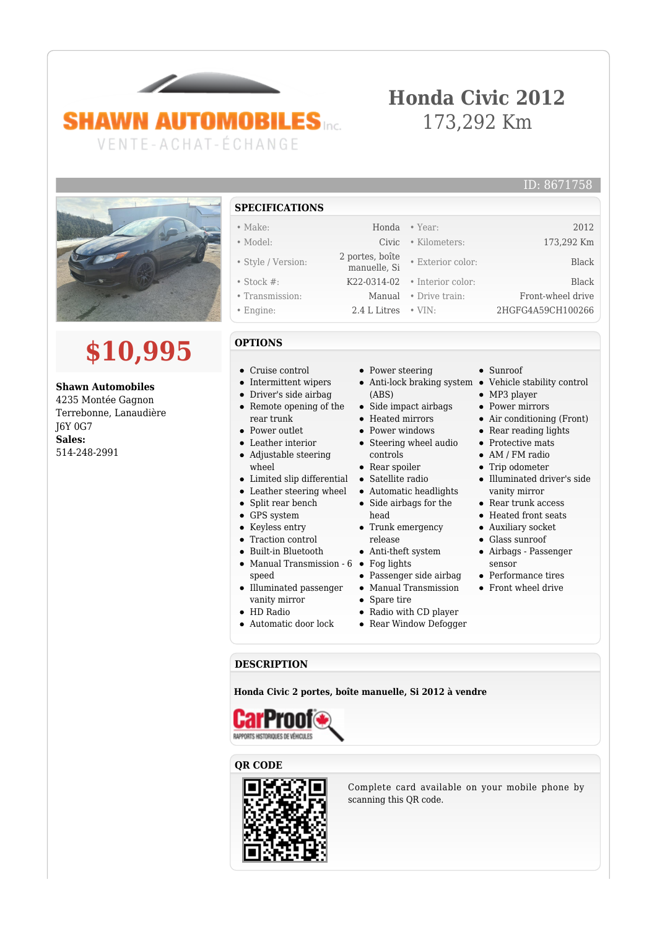# **SHAWN AUTOMOBILES** VENTE-ACHAT-ÉCHANGE

 $\overline{\phantom{a}}$ 

# **Honda Civic 2012** 173,292 Km



# **\$10,995**

**Shawn Automobiles** 4235 Montée Gagnon Terrebonne, Lanaudière J6Y 0G7 **Sales:** 514-248-2991

### **SPECIFICATIONS**

- 
- Style / Version: 2 portes, boîte
- 
- 
- 

#### **OPTIONS**

- Cruise control
- Intermittent wipers
- Driver's side airbag  $\bullet$
- Remote opening of the rear trunk
- Power outlet
- Leather interior Adjustable steering
- wheel
- Limited slip differential
- Leather steering wheel
- Split rear bench
- GPS system
- Keyless entry
- Traction control  $\bullet$
- Built-in Bluetooth Manual Transmission - 6 • Fog lights
- speed Illuminated passenger
- vanity mirror
- HD Radio
- Automatic door lock
- Power steering
- (ABS)
- Side impact airbags
- Heated mirrors
- Power windows
- Steering wheel audio controls
- Rear spoiler
- Satellite radio
- Automatic headlights
- Side airbags for the head
- $\bullet~$  Trunk emergency release
- Anti-theft system
- 
- Manual Transmission
- Spare tire
- Radio with CD player
- Rear Window Defogger

#### **DESCRIPTION**

**Honda Civic 2 portes, boîte manuelle, Si 2012 à vendre**



#### **QR CODE**



Complete card available on your mobile phone by scanning this QR code.

- Sunroof
- Anti-lock braking system Vehicle stability control
	- MP3 player
	- Power mirrors • Air conditioning (Front)
	- Rear reading lights
	- Protective mats
	- AM / FM radio
	- Trip odometer
	- Illuminated driver's side vanity mirror
	- Rear trunk access
	- Heated front seats
	- Auxiliary socket
	- Glass sunroof
	- Airbags Passenger sensor
	- Performance tires
	- Front wheel drive
	-
- 
- Passenger side airbag
- 
- -

• Make: Honda • Year: 2012

ID: 8671758

• Model: Civic • Kilometers: 173,292 Km • Exterior color: Black • Stock #: K22-0314-02 • Interior color: Black • Transmission: Manual • Drive train: Front-wheel drive

• Engine: 2.4 L Litres • VIN: 2HGFG4A59CH100266